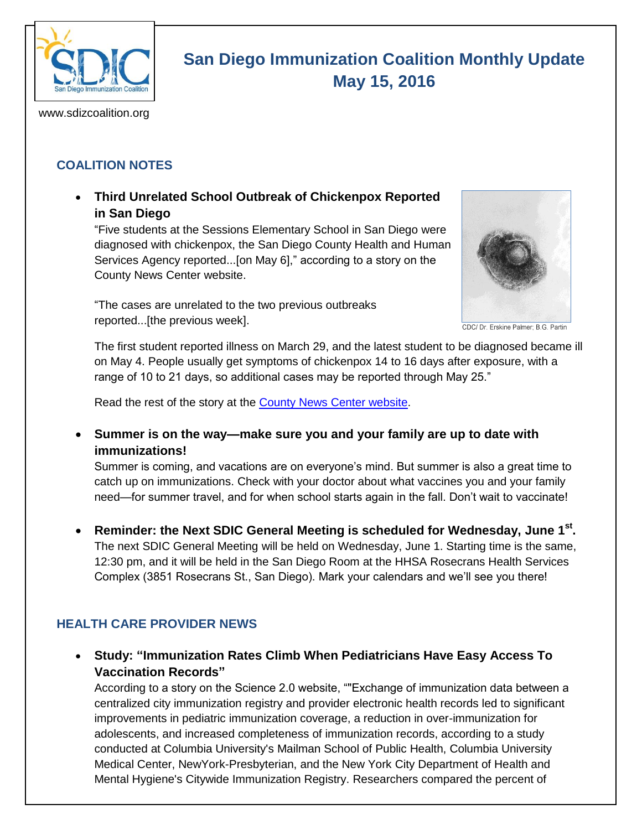

# **San Diego Immunization Coalition Monthly Update May 15, 2016**

www.sdizcoalition.org

# **COALITION NOTES**

 **Third Unrelated School Outbreak of Chickenpox Reported in San Diego**

"Five students at the Sessions Elementary School in San Diego were diagnosed with chickenpox, the San Diego County Health and Human Services Agency reported...[on May 6]," according to a story on the County News Center website.

"The cases are unrelated to the two previous outbreaks reported...[the previous week].



CDC/ Dr. Erskine Palmer; B.G. Partin

The first student reported illness on March 29, and the latest student to be diagnosed became ill on May 4. People usually get symptoms of chickenpox 14 to 16 days after exposure, with a range of 10 to 21 days, so additional cases may be reported through May 25."

Read the rest of the story at the [County News Center website.](http://www.countynewscenter.com/news/third-unrelated-chickenpox-outbreak-reported-county)

 **Summer is on the way—make sure you and your family are up to date with immunizations!**

Summer is coming, and vacations are on everyone's mind. But summer is also a great time to catch up on immunizations. Check with your doctor about what vaccines you and your family need—for summer travel, and for when school starts again in the fall. Don't wait to vaccinate!

 **Reminder: the Next SDIC General Meeting is scheduled for Wednesday, June 1st .**  The next SDIC General Meeting will be held on Wednesday, June 1. Starting time is the same, 12:30 pm, and it will be held in the San Diego Room at the HHSA Rosecrans Health Services Complex (3851 Rosecrans St., San Diego). Mark your calendars and we'll see you there!

## **HEALTH CARE PROVIDER NEWS**

 **Study: "Immunization Rates Climb When Pediatricians Have Easy Access To Vaccination Records"**

According to a story on the Science 2.0 website, ""Exchange of immunization data between a centralized city immunization registry and provider electronic health records led to significant improvements in pediatric immunization coverage, a reduction in over-immunization for adolescents, and increased completeness of immunization records, according to a study conducted at Columbia University's Mailman School of Public Health, Columbia University Medical Center, NewYork-Presbyterian, and the New York City Department of Health and Mental Hygiene's Citywide Immunization Registry. Researchers compared the percent of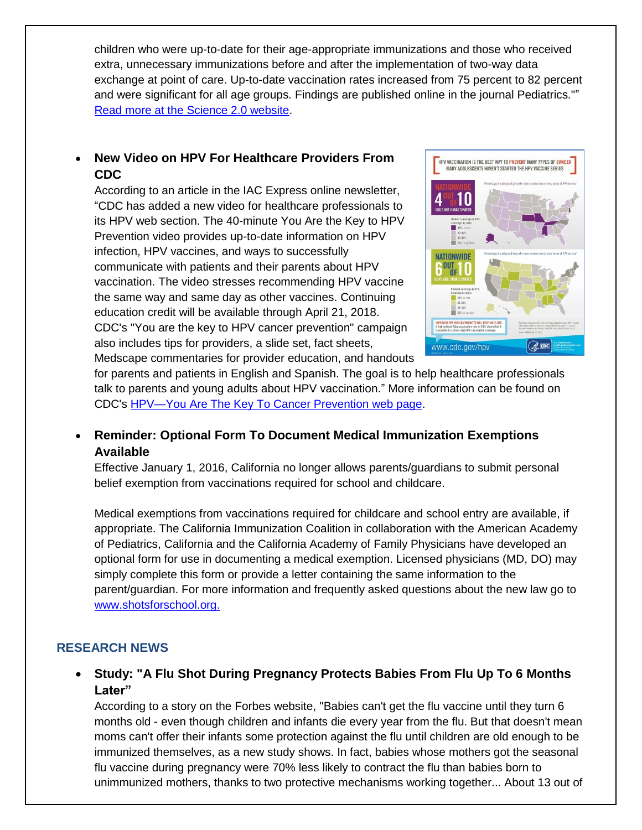children who were up-to-date for their age-appropriate immunizations and those who received extra, unnecessary immunizations before and after the implementation of two-way data exchange at point of care. Up-to-date vaccination rates increased from 75 percent to 82 percent and were significant for all age groups. Findings are published online in the journal Pediatrics."" [Read more at the Science 2.0](http://www.science20.com/news_articles/immunization_rates_climb_when_pediatricians_have_easy_access_to_vaccination_records-172108) website.

## **New Video on HPV For Healthcare Providers From CDC**

According to an article in the IAC Express online newsletter, "CDC has added a new video for healthcare professionals to its HPV web section. The 40-minute You Are the Key to HPV Prevention video provides up-to-date information on HPV infection, HPV vaccines, and ways to successfully communicate with patients and their parents about HPV vaccination. The video stresses recommending HPV vaccine the same way and same day as other vaccines. Continuing education credit will be available through April 21, 2018. CDC's "You are the key to HPV cancer prevention" campaign also includes tips for providers, a slide set, fact sheets, Medscape commentaries for provider education, and handouts



for parents and patients in English and Spanish. The goal is to help healthcare professionals talk to parents and young adults about HPV vaccination." More information can be found on CDC's [HPV—You Are The Key To Cancer Prevention web page.](http://www.cdc.gov/hpv/hcp/index.html)

## **Reminder: Optional Form To Document Medical Immunization Exemptions Available**

Effective January 1, 2016, California no longer allows parents/guardians to submit personal belief exemption from vaccinations required for school and childcare.

Medical exemptions from vaccinations required for childcare and school entry are available, if appropriate. The California Immunization Coalition in collaboration with the American Academy of Pediatrics, California and the California Academy of Family Physicians have developed an optional form for use in documenting a medical exemption. Licensed physicians (MD, DO) may simply complete this form or provide a letter containing the same information to the parent/guardian. For more information and frequently asked questions about the new law go to [www.shotsforschool.org.](http://www.shotsforschool.org/)

#### **RESEARCH NEWS**

 **Study: "A Flu Shot During Pregnancy Protects Babies From Flu Up To 6 Months Later"**

According to a story on the Forbes website, "Babies can't get the flu vaccine until they turn 6 months old - even though children and infants die every year from the flu. But that doesn't mean moms can't offer their infants some protection against the flu until children are old enough to be immunized themselves, as a new study shows. In fact, babies whose mothers got the seasonal flu vaccine during pregnancy were 70% less likely to contract the flu than babies born to unimmunized mothers, thanks to two protective mechanisms working together... About 13 out of